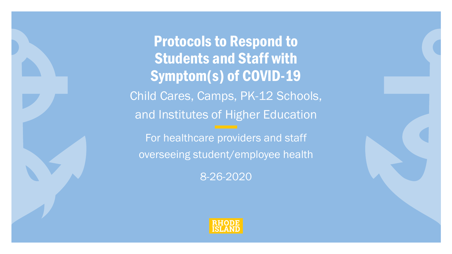Protocols to Respond to Students and Staff with Symptom(s) of COVID-19 Child Cares, Camps, PK-12 Schools, and Institutes of Higher Education For healthcare providers and staff overseeing student/employee health 8-26-2020

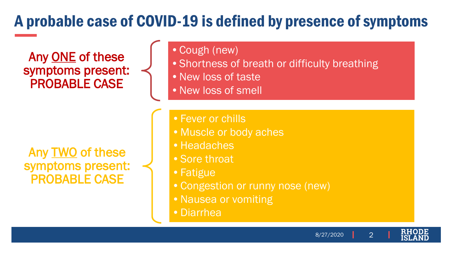# A probable case of COVID-19 is defined by presence of symptoms

Any ONE of these symptoms present: PROBABLE CASE

Any TWO of these symptoms present: PROBABLE CASE

•Cough (new)

- Shortness of breath or difficulty breathing
- New loss of taste
- •New loss of smell

• Fever or chills

- •Muscle or body aches
- Headaches
- •Sore throat
- •Fatigue
- •Congestion or runny nose (new)
- Nausea or vomiting
- •Diarrhea

8/27/2020

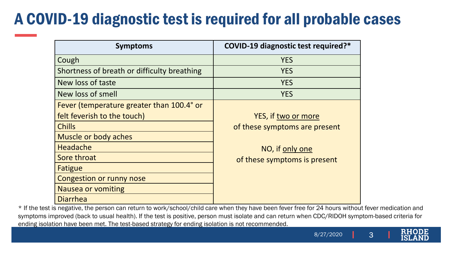# A COVID-19 diagnostic test is required for all probable cases

| <b>Symptoms</b>                             | COVID-19 diagnostic test required?* |
|---------------------------------------------|-------------------------------------|
| Cough                                       | <b>YES</b>                          |
| Shortness of breath or difficulty breathing | <b>YES</b>                          |
| New loss of taste                           | <b>YES</b>                          |
| New loss of smell                           | <b>YES</b>                          |
| Fever (temperature greater than 100.4° or   |                                     |
| felt feverish to the touch)                 | YES, if two or more                 |
| <b>Chills</b>                               | of these symptoms are present       |
| Muscle or body aches                        |                                     |
| <b>Headache</b>                             | NO, if only one                     |
| Sore throat                                 | of these symptoms is present        |
| Fatigue                                     |                                     |
| <b>Congestion or runny nose</b>             |                                     |
| <b>Nausea or vomiting</b>                   |                                     |
| <b>Diarrhea</b>                             |                                     |

\* If the test is negative, the person can return to work/school/child care when they have been fever free for 24 hours without fever medication and symptoms improved (back to usual health). If the test is positive, person must isolate and can return when CDC/RIDOH symptom-based criteria for ending isolation have been met. The test-based strategy for ending isolation is not recommended.

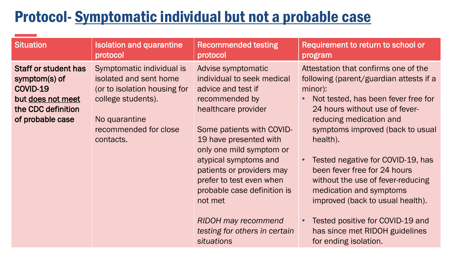#### Protocol- Symptomatic individual but not a probable case

| <b>Situation</b>                                                                                                        | <b>Isolation and quarantine</b>                                                                                                                                  | <b>Recommended testing</b>                                                                                                                                                                                                                                                                                                                                                                                         | Requirement to return to school or                                                                                                                                                                                                                                                                                                                                                                                                                                                                                     |
|-------------------------------------------------------------------------------------------------------------------------|------------------------------------------------------------------------------------------------------------------------------------------------------------------|--------------------------------------------------------------------------------------------------------------------------------------------------------------------------------------------------------------------------------------------------------------------------------------------------------------------------------------------------------------------------------------------------------------------|------------------------------------------------------------------------------------------------------------------------------------------------------------------------------------------------------------------------------------------------------------------------------------------------------------------------------------------------------------------------------------------------------------------------------------------------------------------------------------------------------------------------|
|                                                                                                                         | protocol                                                                                                                                                         | protocol                                                                                                                                                                                                                                                                                                                                                                                                           | program                                                                                                                                                                                                                                                                                                                                                                                                                                                                                                                |
| <b>Staff or student has</b><br>symptom(s) of<br>COVID-19<br>but does not meet<br>the CDC definition<br>of probable case | Symptomatic individual is<br>isolated and sent home<br>(or to isolation housing for<br>college students).<br>No quarantine<br>recommended for close<br>contacts. | Advise symptomatic<br>individual to seek medical<br>advice and test if<br>recommended by<br>healthcare provider<br>Some patients with COVID-<br>19 have presented with<br>only one mild symptom or<br>atypical symptoms and<br>patients or providers may<br>prefer to test even when<br>probable case definition is<br>not met<br><b>RIDOH may recommend</b><br>testing for others in certain<br><b>situations</b> | Attestation that confirms one of the<br>following (parent/guardian attests if a<br>minor):<br>Not tested, has been fever free for<br>24 hours without use of fever-<br>reducing medication and<br>symptoms improved (back to usual<br>health).<br>Tested negative for COVID-19, has<br>been fever free for 24 hours<br>without the use of fever-reducing<br>medication and symptoms<br>improved (back to usual health).<br>Tested positive for COVID-19 and<br>has since met RIDOH guidelines<br>for ending isolation. |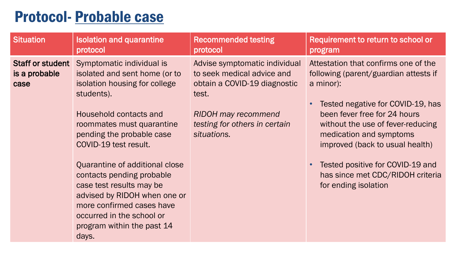#### Protocol- Probable case

| <b>Situation</b>                          | <b>Isolation and quarantine</b><br>protocol                                                                                                                                                                                                                                                                                                                                                                                               | <b>Recommended testing</b><br>protocol                                                                                                                                             | Requirement to return to school or<br>program                                                                                                                                                                                                                                                                                                                      |
|-------------------------------------------|-------------------------------------------------------------------------------------------------------------------------------------------------------------------------------------------------------------------------------------------------------------------------------------------------------------------------------------------------------------------------------------------------------------------------------------------|------------------------------------------------------------------------------------------------------------------------------------------------------------------------------------|--------------------------------------------------------------------------------------------------------------------------------------------------------------------------------------------------------------------------------------------------------------------------------------------------------------------------------------------------------------------|
| Staff or student<br>is a probable<br>case | Symptomatic individual is<br>isolated and sent home (or to<br>isolation housing for college<br>students).<br>Household contacts and<br>roommates must quarantine<br>pending the probable case<br>COVID-19 test result.<br>Quarantine of additional close<br>contacts pending probable<br>case test results may be<br>advised by RIDOH when one or<br>more confirmed cases have<br>occurred in the school or<br>program within the past 14 | Advise symptomatic individual<br>to seek medical advice and<br>obtain a COVID-19 diagnostic<br>test.<br><b>RIDOH</b> may recommend<br>testing for others in certain<br>situations. | Attestation that confirms one of the<br>following (parent/guardian attests if<br>a minor):<br>Tested negative for COVID-19, has<br>been fever free for 24 hours<br>without the use of fever-reducing<br>medication and symptoms<br>improved (back to usual health)<br>Tested positive for COVID-19 and<br>has since met CDC/RIDOH criteria<br>for ending isolation |
|                                           | days.                                                                                                                                                                                                                                                                                                                                                                                                                                     |                                                                                                                                                                                    |                                                                                                                                                                                                                                                                                                                                                                    |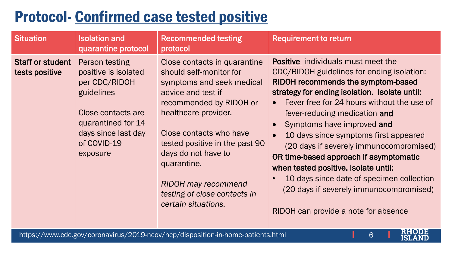# Protocol- Confirmed case tested positive

| <b>Situation</b>                          | <b>Isolation and</b><br>quarantine protocol                                                                                                                         | <b>Recommended testing</b><br>protocol                                                                                                                                                                                                                                                                                                                | <b>Requirement to return</b>                                                                                                                                                                                                                                                                                                                                                                                                                                                                                                                                                                      |
|-------------------------------------------|---------------------------------------------------------------------------------------------------------------------------------------------------------------------|-------------------------------------------------------------------------------------------------------------------------------------------------------------------------------------------------------------------------------------------------------------------------------------------------------------------------------------------------------|---------------------------------------------------------------------------------------------------------------------------------------------------------------------------------------------------------------------------------------------------------------------------------------------------------------------------------------------------------------------------------------------------------------------------------------------------------------------------------------------------------------------------------------------------------------------------------------------------|
| <b>Staff or student</b><br>tests positive | Person testing<br>positive is isolated<br>per CDC/RIDOH<br>guidelines<br>Close contacts are<br>quarantined for 14<br>days since last day<br>of COVID-19<br>exposure | Close contacts in quarantine<br>should self-monitor for<br>symptoms and seek medical<br>advice and test if<br>recommended by RIDOH or<br>healthcare provider.<br>Close contacts who have<br>tested positive in the past 90<br>days do not have to<br>quarantine.<br><b>RIDOH may recommend</b><br>testing of close contacts in<br>certain situations. | <b>Positive</b> individuals must meet the<br>CDC/RIDOH guidelines for ending isolation:<br>RIDOH recommends the symptom-based<br>strategy for ending isolation. Isolate until:<br>Fever free for 24 hours without the use of<br>fever-reducing medication and<br>Symptoms have improved and<br>10 days since symptoms first appeared<br>(20 days if severely immunocompromised)<br>OR time-based approach if asymptomatic<br>when tested positive. Isolate until:<br>10 days since date of specimen collection<br>(20 days if severely immunocompromised)<br>RIDOH can provide a note for absence |

KH<br>ISI DΕ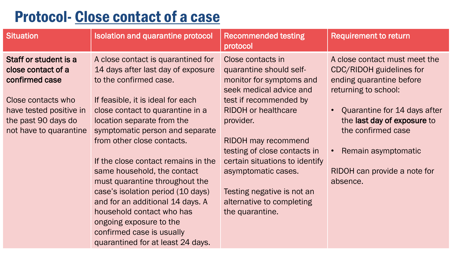# Protocol- Close contact of a case

| <b>Situation</b>                                                                                                                                                | <b>Isolation and quarantine protocol</b>                                                                                                                                                                                                                                                                                                                                                                                                                                                                                                                                              | <b>Recommended testing</b><br>protocol                                                                                                                                                                                                                                                                                                                                        | <b>Requirement to return</b>                                                                                                                                                                                                                                                 |
|-----------------------------------------------------------------------------------------------------------------------------------------------------------------|---------------------------------------------------------------------------------------------------------------------------------------------------------------------------------------------------------------------------------------------------------------------------------------------------------------------------------------------------------------------------------------------------------------------------------------------------------------------------------------------------------------------------------------------------------------------------------------|-------------------------------------------------------------------------------------------------------------------------------------------------------------------------------------------------------------------------------------------------------------------------------------------------------------------------------------------------------------------------------|------------------------------------------------------------------------------------------------------------------------------------------------------------------------------------------------------------------------------------------------------------------------------|
| Staff or student is a<br>close contact of a<br>confirmed case<br>Close contacts who<br>have tested positive in<br>the past 90 days do<br>not have to quarantine | A close contact is quarantined for<br>14 days after last day of exposure<br>to the confirmed case.<br>If feasible, it is ideal for each<br>close contact to quarantine in a<br>location separate from the<br>symptomatic person and separate<br>from other close contacts.<br>If the close contact remains in the<br>same household, the contact<br>must quarantine throughout the<br>case's isolation period (10 days)<br>and for an additional 14 days. A<br>household contact who has<br>ongoing exposure to the<br>confirmed case is usually<br>quarantined for at least 24 days. | Close contacts in<br>quarantine should self-<br>monitor for symptoms and<br>seek medical advice and<br>test if recommended by<br><b>RIDOH</b> or healthcare<br>provider.<br><b>RIDOH</b> may recommend<br>testing of close contacts in<br>certain situations to identify<br>asymptomatic cases.<br>Testing negative is not an<br>alternative to completing<br>the quarantine. | A close contact must meet the<br><b>CDC/RIDOH</b> guidelines for<br>ending quarantine before<br>returning to school:<br>Quarantine for 14 days after<br>the last day of exposure to<br>the confirmed case<br>Remain asymptomatic<br>RIDOH can provide a note for<br>absence. |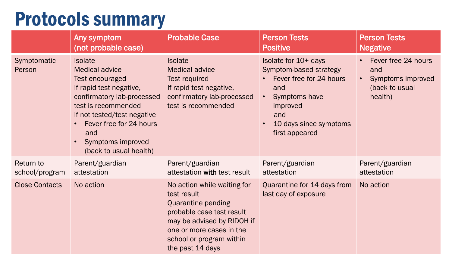# Protocols summary

|                             | Any symptom<br>(not probable case)                                                                                                                                                                                                                         | <b>Probable Case</b>                                                                                                                                                                                           | <b>Person Tests</b><br><b>Positive</b>                                                                                                                                        | <b>Person Tests</b><br><b>Negative</b>                                       |
|-----------------------------|------------------------------------------------------------------------------------------------------------------------------------------------------------------------------------------------------------------------------------------------------------|----------------------------------------------------------------------------------------------------------------------------------------------------------------------------------------------------------------|-------------------------------------------------------------------------------------------------------------------------------------------------------------------------------|------------------------------------------------------------------------------|
| Symptomatic<br>Person       | <b>Isolate</b><br><b>Medical advice</b><br>Test encouraged<br>If rapid test negative,<br>confirmatory lab-processed<br>test is recommended<br>If not tested/test negative<br>Fever free for 24 hours<br>and<br>Symptoms improved<br>(back to usual health) | <b>Isolate</b><br><b>Medical advice</b><br><b>Test required</b><br>If rapid test negative,<br>confirmatory lab-processed<br>test is recommended                                                                | Isolate for 10+ days<br>Symptom-based strategy<br>Fever free for 24 hours<br>and<br>Symptoms have<br>$\bullet$<br>improved<br>and<br>10 days since symptoms<br>first appeared | Fever free 24 hours<br>and<br>Symptoms improved<br>(back to usual<br>health) |
| Return to<br>school/program | Parent/guardian<br>attestation                                                                                                                                                                                                                             | Parent/guardian<br>attestation with test result                                                                                                                                                                | Parent/guardian<br>attestation                                                                                                                                                | Parent/guardian<br>attestation                                               |
| <b>Close Contacts</b>       | No action                                                                                                                                                                                                                                                  | No action while waiting for<br>test result<br><b>Quarantine pending</b><br>probable case test result<br>may be advised by RIDOH if<br>one or more cases in the<br>school or program within<br>the past 14 days | Quarantine for 14 days from<br>last day of exposure                                                                                                                           | No action                                                                    |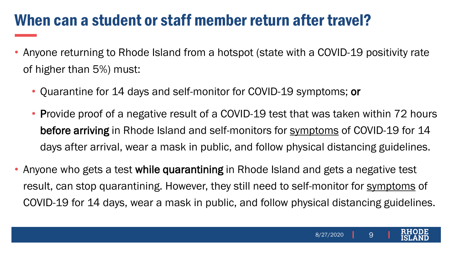#### When can a student or staff member return after travel?

- Anyone returning to Rhode Island from a hotspot (state with a COVID-19 positivity rate of higher than 5%) must:
	- Quarantine for 14 days and self-monitor for COVID-19 symptoms; or
	- Provide proof of a negative result of a COVID-19 test that was taken within 72 hours before arriving in Rhode Island and self-monitors for [symptoms](https://health.ri.gov/diseases/ncov2019/) of COVID-19 for 14 days after arrival, wear a mask in public, and follow physical distancing guidelines.
- Anyone who gets a test while quarantining in Rhode Island and gets a negative test result, can stop quarantining. However, they still need to self-monitor for [symptoms](https://health.ri.gov/diseases/ncov2019/) of COVID-19 for 14 days, wear a mask in public, and follow physical distancing guidelines.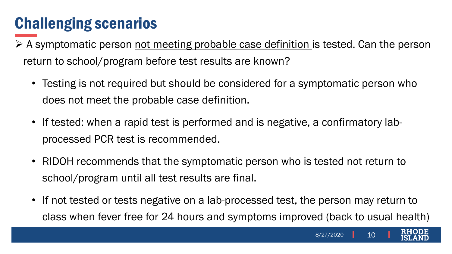- $\triangleright$  A symptomatic person not meeting probable case definition is tested. Can the person return to school/program before test results are known?
	- Testing is not required but should be considered for a symptomatic person who does not meet the probable case definition.
	- If tested: when a rapid test is performed and is negative, a confirmatory labprocessed PCR test is recommended.
	- RIDOH recommends that the symptomatic person who is tested not return to school/program until all test results are final.
	- If not tested or tests negative on a lab-processed test, the person may return to class when fever free for 24 hours and symptoms improved (back to usual health)

10

8/27/2020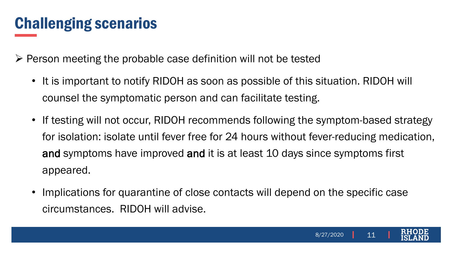$\triangleright$  Person meeting the probable case definition will not be tested

- It is important to notify RIDOH as soon as possible of this situation. RIDOH will counsel the symptomatic person and can facilitate testing.
- If testing will not occur, RIDOH recommends following the symptom-based strategy for isolation: isolate until fever free for 24 hours without fever-reducing medication, and symptoms have improved and it is at least 10 days since symptoms first appeared.
- Implications for quarantine of close contacts will depend on the specific case circumstances. RIDOH will advise.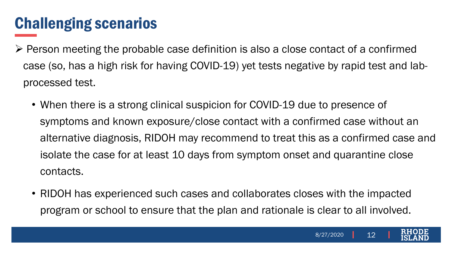- $\triangleright$  Person meeting the probable case definition is also a close contact of a confirmed case (so, has a high risk for having COVID-19) yet tests negative by rapid test and labprocessed test.
	- When there is a strong clinical suspicion for COVID-19 due to presence of symptoms and known exposure/close contact with a confirmed case without an alternative diagnosis, RIDOH may recommend to treat this as a confirmed case and isolate the case for at least 10 days from symptom onset and quarantine close contacts.
	- RIDOH has experienced such cases and collaborates closes with the impacted program or school to ensure that the plan and rationale is clear to all involved.

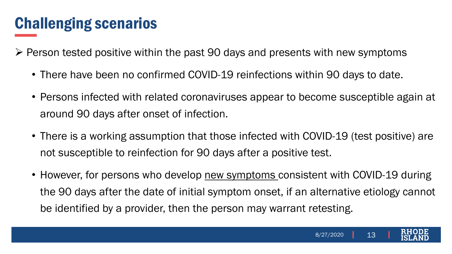$\triangleright$  Person tested positive within the past 90 days and presents with new symptoms

- There have been no confirmed COVID-19 reinfections within 90 days to date.
- Persons infected with related coronaviruses appear to become susceptible again at around 90 days after onset of infection.
- There is a working assumption that those infected with COVID-19 (test positive) are not susceptible to reinfection for 90 days after a positive test.
- However, for persons who develop new symptoms consistent with COVID-19 during the 90 days after the date of initial symptom onset, if an alternative etiology cannot be identified by a provider, then the person may warrant retesting.

13

8/27/2020